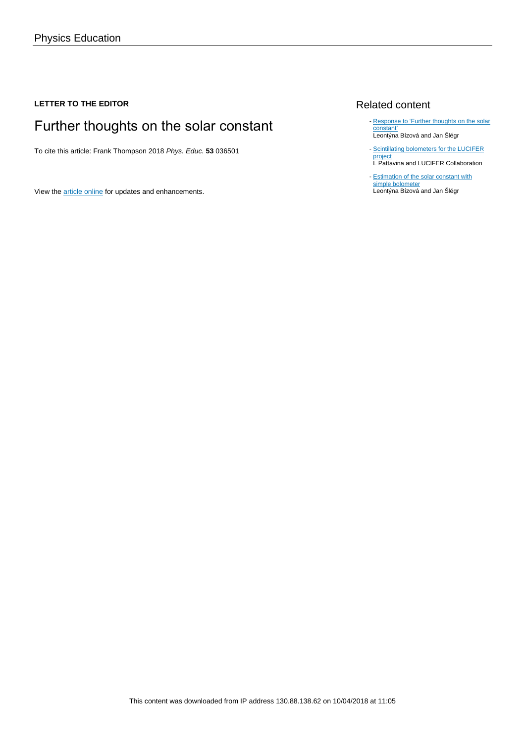## **LETTER TO THE EDITOR**

# Further thoughts on the solar constant

To cite this article: Frank Thompson 2018 Phys. Educ. **53** 036501

View the [article online](https://doi.org/10.1088/1361-6552/aab53d) for updates and enhancements.

### Related content

- [Response to 'Further thoughts on the solar](http://iopscience.iop.org/article/10.1088/1361-6552/aab539) [constant'](http://iopscience.iop.org/article/10.1088/1361-6552/aab539) Leontýna Bízová and Jan Šlégr
- [Scintillating bolometers for the LUCIFER](http://iopscience.iop.org/article/10.1088/1742-6596/718/6/062048) [project](http://iopscience.iop.org/article/10.1088/1742-6596/718/6/062048) L Pattavina and LUCIFER Collaboration
- [Estimation of the solar constant with](http://iopscience.iop.org/article/10.1088/1361-6552/52/1/013008) [simple bolometer](http://iopscience.iop.org/article/10.1088/1361-6552/52/1/013008) Leontýna Bízová and Jan Šlégr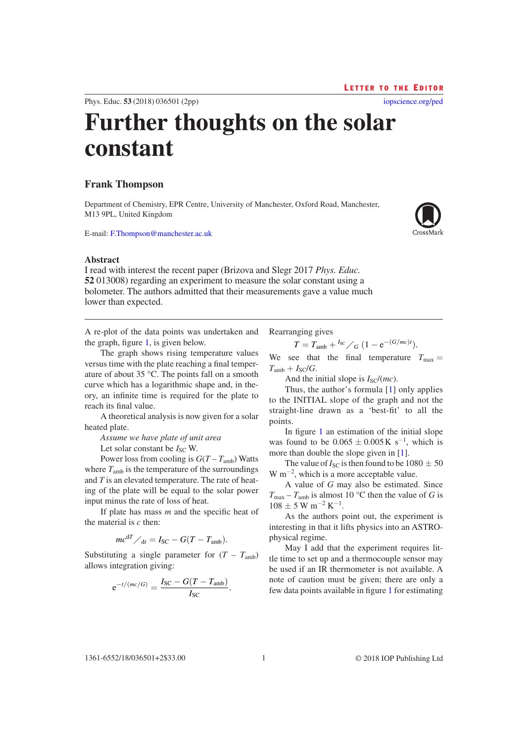LETTER TO THE EDITOR

[iopscience.org/ped](http://iopscience.org/ped)

Phys. Educ. **53** (2018) 036501 ([2](#page-2-2)pp)

# **Further thoughts on the solar constant**

### **Frank Thompson**

Department of Chemistry, EPR Centre, University of Manchester, Oxford Road, Manchester, M13 9PL, United Kingdom

E-mail: [F.Thompson@manchester.ac.uk](mailto:F.Thompson@manchester.ac.uk)



I read with interest the recent paper (Brizova and Slegr 2017 *Phys. Educ.* **52** 013008) regarding an experiment to measure the solar constant using a bolometer. The authors admitted that their measurements gave a value much lower than expected.

A re-plot of the data points was undertaken and the graph, figure [1](#page-2-0), is given below.

The graph shows rising temperature values versus time with the plate reaching a final temperature of about 35 °C. The points fall on a smooth curve which has a logarithmic shape and, in theory, an infinite time is required for the plate to reach its final value.

A theoretical analysis is now given for a solar heated plate.

*Assume we have plate of unit area*

Let solar constant be  $I_{SC}$  W.

Power loss from cooling is  $G(T - T_{amb})$  Watts where  $T_{\text{amb}}$  is the temperature of the surroundings and *T* is an elevated temperature. The rate of heating of the plate will be equal to the solar power input minus the rate of loss of heat.

If plate has mass *m* and the specific heat of the material is *c* then:

$$
mc^{dT}/_{dt} = I_{SC} - G(T - T_{amb}).
$$

Substituting a single parameter for  $(T - T<sub>amb</sub>)$ allows integration giving:

$$
e^{-t/(mc/G)} = \frac{I_{SC} - G(T - T_{amb})}{I_{SC}}.
$$

Rearranging gives

$$
T = T_{\text{amb}} + {}^{I_{\text{SC}}}/G \ (1 - e^{-(G/mc)t}).
$$

We see that the final temperature  $T_{\text{max}} =$  $T_{amb} + I_{SC}/G$ .

And the initial slope is  $I_{\text{SC}}/(mc)$ .

Thus, the author's formula [[1\]](#page-2-1) only applies to the INITIAL slope of the graph and not the straight-line drawn as a 'best-fit' to all the points.

In figure [1](#page-2-0) an estimation of the initial slope was found to be  $0.065 \pm 0.005$  K s<sup>-1</sup>, which is more than double the slope given in [\[1](#page-2-1)].

The value of  $I_{SC}$  is then found to be  $1080 \pm 50$  $W$  m<sup>-2</sup>, which is a more acceptable value.

A value of *G* may also be estimated. Since  $T_{\text{max}} - T_{\text{amb}}$  is almost 10 °C then the value of *G* is  $108 \pm 5$  W m<sup>-2</sup> K<sup>-1</sup>.

As the authors point out, the experiment is interesting in that it lifts physics into an ASTROphysical regime.

May I add that the experiment requires little time to set up and a thermocouple sensor may be used if an IR thermometer is not available. A note of caution must be given; there are only a few data points available in figure [1](#page-2-0) for estimating